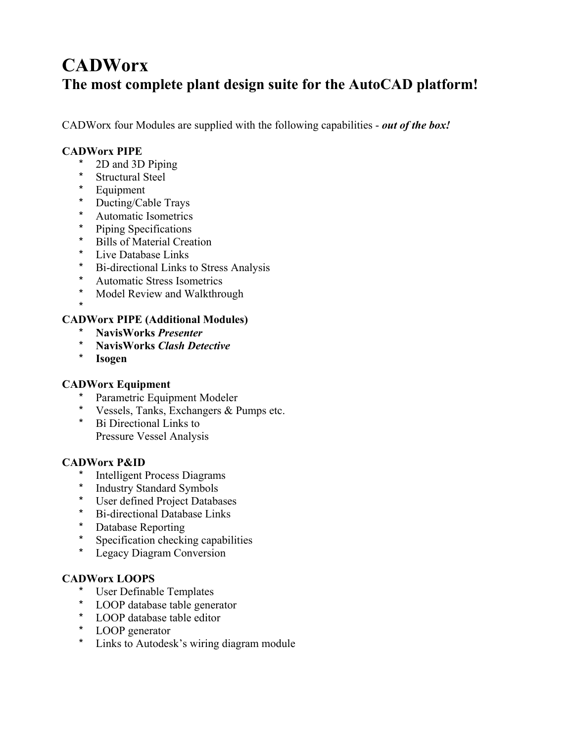## **CADWorx The most complete plant design suite for the AutoCAD platform!**

CADWorx four Modules are supplied with the following capabilities - *out of the box!*

### **CADWorx PIPE**

- $*$  2D and 3D Piping<br> $*$  Structural Steel
- Structural Steel
- \* Equipment
- \* Ducting/Cable Trays
- \* Automatic Isometrics<br>\* Dining Specifications
- Piping Specifications
- \* Bills of Material Creation
- \* Live Database Links
- \* Bi-directional Links to Stress Analysis
- \* Automatic Stress Isometrics
- \* Model Review and Walkthrough
- \*

### **CADWorx PIPE (Additional Modules)**

- \* **NavisWorks** *Presenter*
- \* **NavisWorks** *Clash Detective*
- \* **Isogen**

## **CADWorx Equipment**

- \* Parametric Equipment Modeler
- \* Vessels, Tanks, Exchangers & Pumps etc.
- \* Bi Directional Links to Pressure Vessel Analysis

### **CADWorx P&ID**

- **Intelligent Process Diagrams**
- \* Industry Standard Symbols<br>\* Ilser defined Project Databa
- User defined Project Databases
- Bi-directional Database Links
- Database Reporting
- \* Specification checking capabilities<br>\* Leggev Diagram Conversion
- Legacy Diagram Conversion

## **CADWorx LOOPS**

- \* User Definable Templates
- \* LOOP database table generator
- \* LOOP database table editor
- \* LOOP generator
- \* Links to Autodesk's wiring diagram module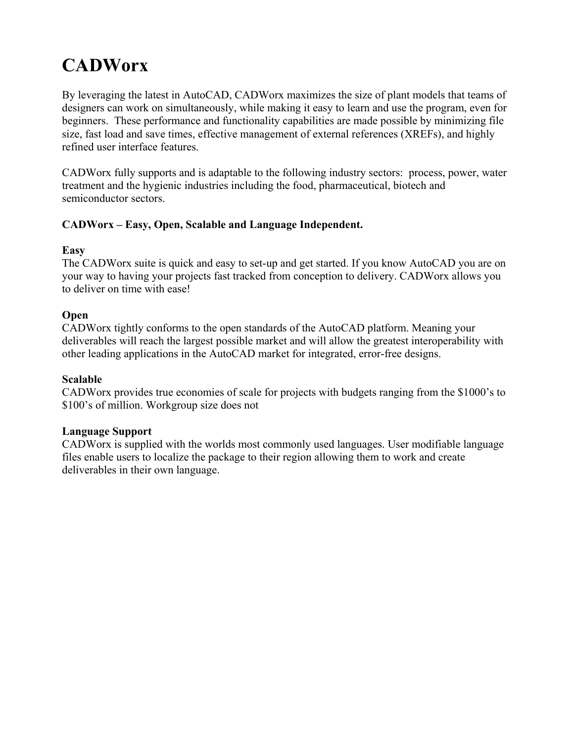## **CADWorx**

By leveraging the latest in AutoCAD, CADWorx maximizes the size of plant models that teams of designers can work on simultaneously, while making it easy to learn and use the program, even for beginners. These performance and functionality capabilities are made possible by minimizing file size, fast load and save times, effective management of external references (XREFs), and highly refined user interface features.

CADWorx fully supports and is adaptable to the following industry sectors: process, power, water treatment and the hygienic industries including the food, pharmaceutical, biotech and semiconductor sectors.

### CADWorx – Easy, Open, Scalable and Language Independent.

### **Easy**

The CADWorx suite is quick and easy to set-up and get started. If you know AutoCAD you are on your way to having your projects fast tracked from conception to delivery. CADWorx allows you to deliver on time with ease!

### **Open**

CADWorx tightly conforms to the open standards of the AutoCAD platform. Meaning your deliverables will reach the largest possible market and will allow the greatest interoperability with other leading applications in the AutoCAD market for integrated, error-free designs.

### **Scalable**

CADWorx provides true economies of scale for projects with budgets ranging from the \$1000's to \$100's of million. Workgroup size does not

## **Language Support**

CADWorx is supplied with the worlds most commonly used languages. User modifiable language files enable users to localize the package to their region allowing them to work and create deliverables in their own language.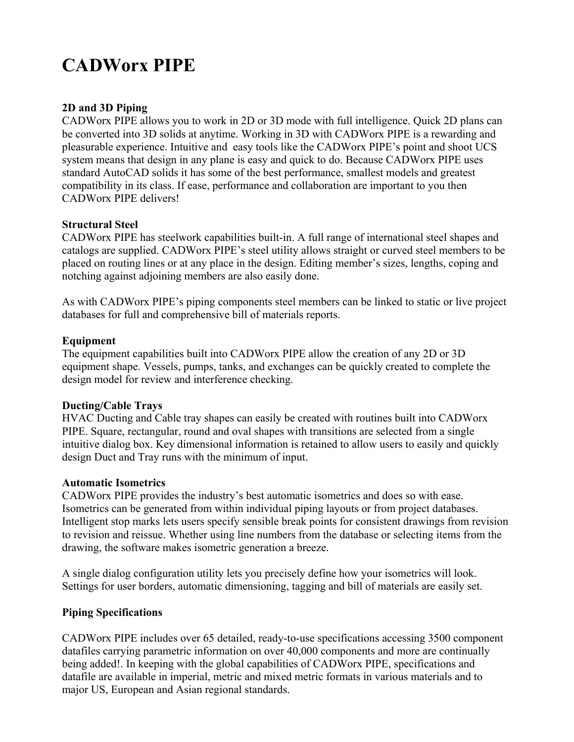## **CADWorx PIPE**

## **2D and 3D Piping**

CADWorx PIPE allows you to work in 2D or 3D mode with full intelligence. Quick 2D plans can be converted into 3D solids at anytime. Working in 3D with CADWorx PIPE is a rewarding and pleasurable experience. Intuitive and easy tools like the CADWorx PIPE's point and shoot UCS system means that design in any plane is easy and quick to do. Because CADWorx PIPE uses standard AutoCAD solids it has some of the best performance, smallest models and greatest compatibility in its class. If ease, performance and collaboration are important to you then CADWorx PIPE delivers!

### **Structural Steel**

CADWorx PIPE has steelwork capabilities built-in. A full range of international steel shapes and catalogs are supplied. CADWorx PIPE's steel utility allows straight or curved steel members to be placed on routing lines or at any place in the design. Editing member's sizes, lengths, coping and notching against adjoining members are also easily done.

As with CADWorx PIPE's piping components steel members can be linked to static or live project databases for full and comprehensive bill of materials reports.

### **Equipment**

The equipment capabilities built into CADWorx PIPE allow the creation of any 2D or 3D equipment shape. Vessels, pumps, tanks, and exchanges can be quickly created to complete the design model for review and interference checking.

## **Ducting/Cable Trays**

HVAC Ducting and Cable tray shapes can easily be created with routines built into CADWorx PIPE. Square, rectangular, round and oval shapes with transitions are selected from a single intuitive dialog box. Key dimensional information is retained to allow users to easily and quickly design Duct and Tray runs with the minimum of input.

### **Automatic Isometrics**

CADWorx PIPE provides the industry's best automatic isometrics and does so with ease. Isometrics can be generated from within individual piping layouts or from project databases. Intelligent stop marks lets users specify sensible break points for consistent drawings from revision to revision and reissue. Whether using line numbers from the database or selecting items from the drawing, the software makes isometric generation a breeze.

A single dialog configuration utility lets you precisely define how your isometrics will look. Settings for user borders, automatic dimensioning, tagging and bill of materials are easily set.

## **Piping Specifications**

CADWorx PIPE includes over 65 detailed, ready-to-use specifications accessing 3500 component datafiles carrying parametric information on over 40,000 components and more are continually being added!. In keeping with the global capabilities of CADWorx PIPE, specifications and datafile are available in imperial, metric and mixed metric formats in various materials and to major US, European and Asian regional standards.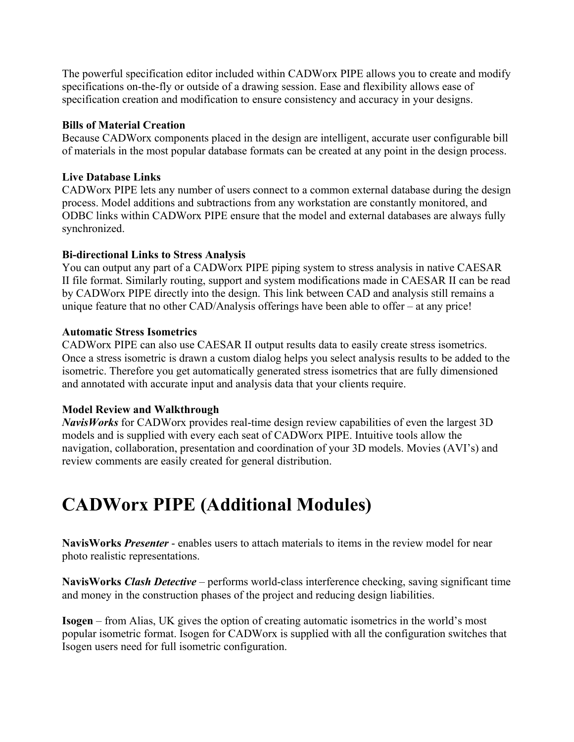The powerful specification editor included within CADWorx PIPE allows you to create and modify specifications on-the-fly or outside of a drawing session. Ease and flexibility allows ease of specification creation and modification to ensure consistency and accuracy in your designs.

### **Bills of Material Creation**

Because CADWorx components placed in the design are intelligent, accurate user configurable bill of materials in the most popular database formats can be created at any point in the design process.

### **Live Database Links**

CADWorx PIPE lets any number of users connect to a common external database during the design process. Model additions and subtractions from any workstation are constantly monitored, and ODBC links within CADWorx PIPE ensure that the model and external databases are always fully synchronized.

### **Bi-directional Links to Stress Analysis**

You can output any part of a CADWorx PIPE piping system to stress analysis in native CAESAR II file format. Similarly routing, support and system modifications made in CAESAR II can be read by CADWorx PIPE directly into the design. This link between CAD and analysis still remains a unique feature that no other CAD/Analysis offerings have been able to offer  $-$  at any price!

### **Automatic Stress Isometrics**

CADWorx PIPE can also use CAESAR II output results data to easily create stress isometrics. Once a stress isometric is drawn a custom dialog helps you select analysis results to be added to the isometric. Therefore you get automatically generated stress isometrics that are fully dimensioned and annotated with accurate input and analysis data that your clients require.

### **Model Review and Walkthrough**

*NavisWorks* for CADWorx provides real-time design review capabilities of even the largest 3D models and is supplied with every each seat of CADWorx PIPE. Intuitive tools allow the navigation, collaboration, presentation and coordination of your 3D models. Movies (AVI's) and review comments are easily created for general distribution.

## **CADWorx PIPE (Additional Modules)**

**NavisWorks** *Presenter* - enables users to attach materials to items in the review model for near photo realistic representations.

**NavisWorks** Clash Detective – performs world-class interference checking, saving significant time and money in the construction phases of the project and reducing design liabilities.

**Isogen** – from Alias, UK gives the option of creating automatic isometrics in the world's most popular isometric format. Isogen for CADWorx is supplied with all the configuration switches that Isogen users need for full isometric configuration.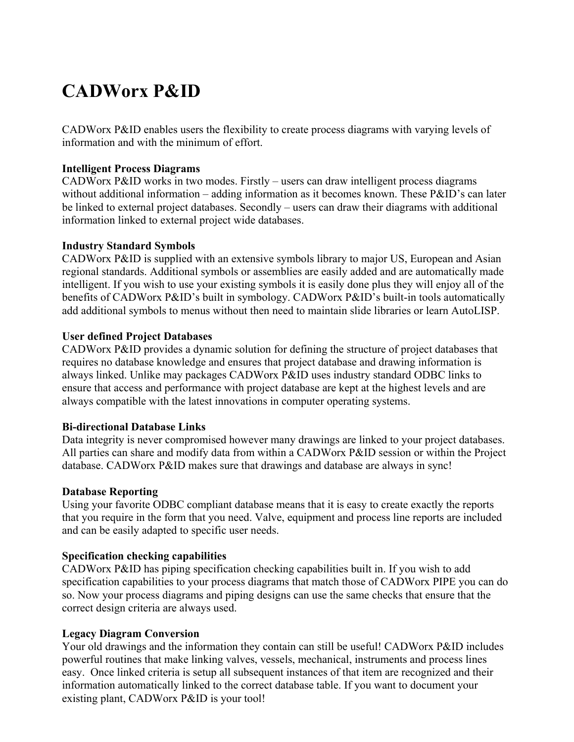## **CADWorx P&ID**

CADWorx P&ID enables users the flexibility to create process diagrams with varying levels of information and with the minimum of effort.

### **Intelligent Process Diagrams**

CADWorx P&ID works in two modes. Firstly  $-$  users can draw intelligent process diagrams without additional information – adding information as it becomes known. These  $P\&ID$ 's can later be linked to external project databases. Secondly  $-$  users can draw their diagrams with additional information linked to external project wide databases.

### **Industry Standard Symbols**

CADWorx P&ID is supplied with an extensive symbols library to major US, European and Asian regional standards. Additional symbols or assemblies are easily added and are automatically made intelligent. If you wish to use your existing symbols it is easily done plus they will enjoy all of the benefits of CADWorx P&ID's built in symbology. CADWorx P&ID's built-in tools automatically add additional symbols to menus without then need to maintain slide libraries or learn AutoLISP.

### **User defined Project Databases**

CADWorx P&ID provides a dynamic solution for defining the structure of project databases that requires no database knowledge and ensures that project database and drawing information is always linked. Unlike may packages CADWorx P&ID uses industry standard ODBC links to ensure that access and performance with project database are kept at the highest levels and are always compatible with the latest innovations in computer operating systems.

#### **Bi-directional Database Links**

Data integrity is never compromised however many drawings are linked to your project databases. All parties can share and modify data from within a CADWorx P&ID session or within the Project database. CADWorx P&ID makes sure that drawings and database are always in sync!

#### **Database Reporting**

Using your favorite ODBC compliant database means that it is easy to create exactly the reports that you require in the form that you need. Valve, equipment and process line reports are included and can be easily adapted to specific user needs.

#### **Specification checking capabilities**

CADWorx P&ID has piping specification checking capabilities built in. If you wish to add specification capabilities to your process diagrams that match those of CADWorx PIPE you can do so. Now your process diagrams and piping designs can use the same checks that ensure that the correct design criteria are always used.

#### **Legacy Diagram Conversion**

Your old drawings and the information they contain can still be useful! CADWorx P&ID includes powerful routines that make linking valves, vessels, mechanical, instruments and process lines easy. Once linked criteria is setup all subsequent instances of that item are recognized and their information automatically linked to the correct database table. If you want to document your existing plant, CADWorx P&ID is your tool!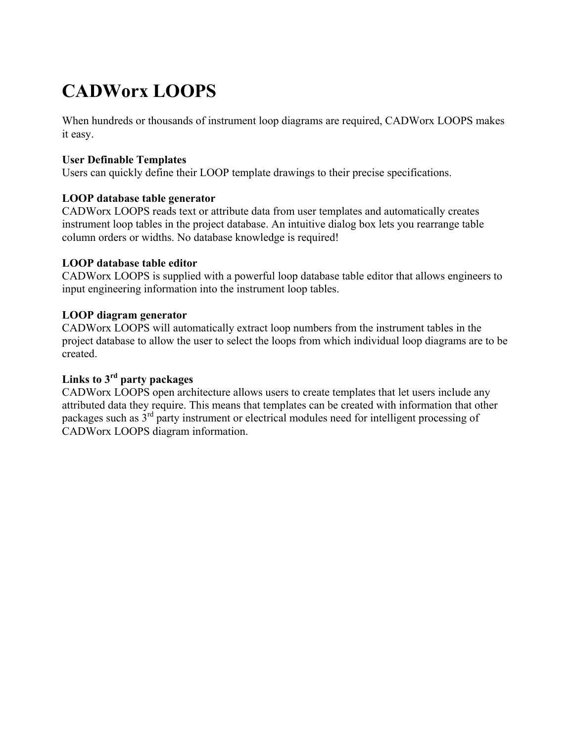# **CADWorx LOOPS**

When hundreds or thousands of instrument loop diagrams are required, CADWorx LOOPS makes it easy.

### **User Definable Templates**

Users can quickly define their LOOP template drawings to their precise specifications.

### **LOOP database table generator**

CADWorx LOOPS reads text or attribute data from user templates and automatically creates instrument loop tables in the project database. An intuitive dialog box lets you rearrange table column orders or widths. No database knowledge is required!

### **LOOP database table editor**

CADWorx LOOPS is supplied with a powerful loop database table editor that allows engineers to input engineering information into the instrument loop tables.

### **LOOP diagram generator**

CADWorx LOOPS will automatically extract loop numbers from the instrument tables in the project database to allow the user to select the loops from which individual loop diagrams are to be created.

## **Links to 3rd party packages**

CADWorx LOOPS open architecture allows users to create templates that let users include any attributed data they require. This means that templates can be created with information that other packages such as  $3<sup>rd</sup>$  party instrument or electrical modules need for intelligent processing of CADWorx LOOPS diagram information.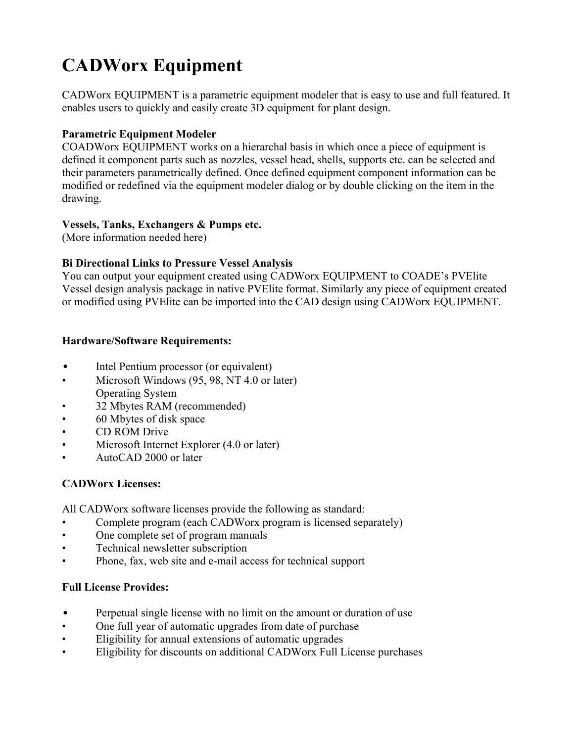# **CADWorx Equipment**

CADWorx EQUIPMENT is a parametric equipment modeler that is easy to use and full featured. It enables users to quickly and easily create 3D equipment for plant design.

## **Parametric Equipment Modeler**

COADWorx EQUIPMENT works on a hierarchal basis in which once a piece of equipment is defined it component parts such as nozzles, vessel head, shells, supports etc. can be selected and their parameters parametrically defined. Once defined equipment component information can be modified or redefined via the equipment modeler dialog or by double clicking on the item in the drawing.

## **Vessels, Tanks, Exchangers & Pumps etc.**

(More information needed here)

## **Bi Directional Links to Pressure Vessel Analysis**

You can output your equipment created using CADWorx EQUIPMENT to COADE's PVE lite Vessel design analysis package in native PVElite format. Similarly any piece of equipment created or modified using PVElite can be imported into the CAD design using CADWorx EQUIPMENT.

## **Hardware/Software Requirements:**

- Intel Pentium processor (or equivalent)
- Microsoft Windows (95, 98, NT 4.0 or later) Operating System
- f 32 Mbytes RAM (recommended)
- 60 Mbytes of disk space
- CD ROM Drive
- Microsoft Internet Explorer (4.0 or later)
- AutoCAD 2000 or later

## **CADWorx Licenses:**

All CADWorx software licenses provide the following as standard:

- Complete program (each CADWorx program is licensed separately)
- One complete set of program manuals
- Technical newsletter subscription
- Phone, fax, web site and e-mail access for technical support

## **Full License Provides:**

- Perpetual single license with no limit on the amount or duration of use
- One full year of automatic upgrades from date of purchase
- Eligibility for annual extensions of automatic upgrades
- f Eligibility for discounts on additional CADWorx Full License purchases